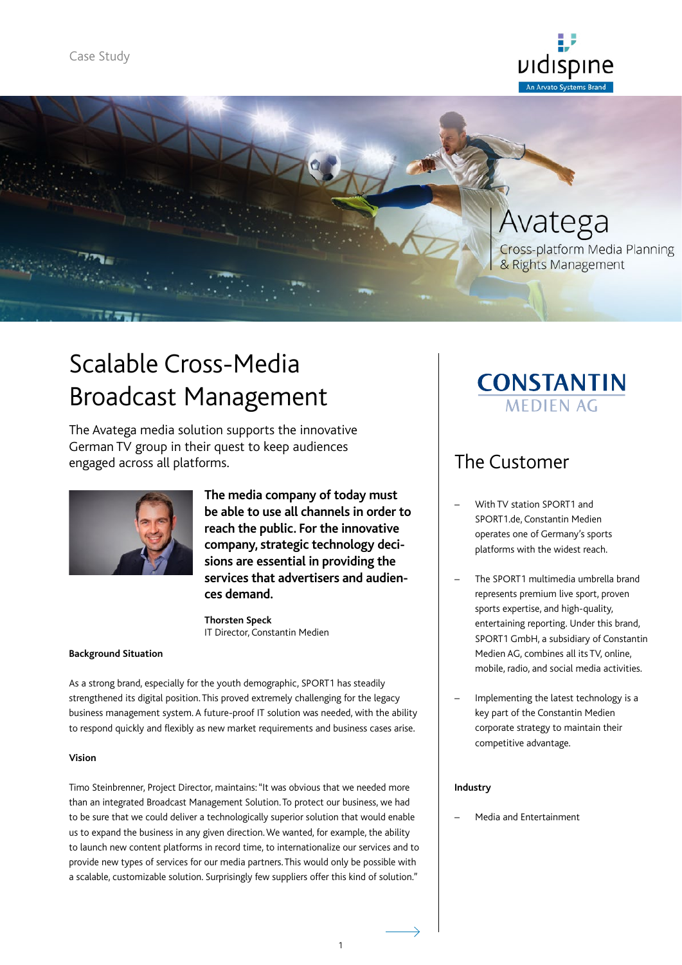



# Scalable Cross-Media Broadcast Management

The Avatega media solution supports the innovative German TV group in their quest to keep audiences engaged across all platforms.



**The media company of today must be able to use all channels in order to reach the public. For the innovative company, strategic technology decisions are essential in providing the services that advertisers and audiences demand.**

**Thorsten Speck** IT Director, Constantin Medien

#### **Background Situation**

As a strong brand, especially for the youth demographic, SPORT1 has steadily strengthened its digital position. This proved extremely challenging for the legacy business management system. A future-proof IT solution was needed, with the ability to respond quickly and flexibly as new market requirements and business cases arise.

#### **Vision**

Timo Steinbrenner, Project Director, maintains: "It was obvious that we needed more than an integrated Broadcast Management Solution. To protect our business, we had to be sure that we could deliver a technologically superior solution that would enable us to expand the business in any given direction. We wanted, for example, the ability to launch new content platforms in record time, to internationalize our services and to provide new types of services for our media partners. This would only be possible with a scalable, customizable solution. Surprisingly few suppliers offer this kind of solution."

## **CONSTANTIN MEDIEN AG**

### The Customer

- With TV station SPORT1 and SPORT1.de, Constantin Medien operates one of Germany's sports platforms with the widest reach.
- The SPORT1 multimedia umbrella brand represents premium live sport, proven sports expertise, and high-quality, entertaining reporting. Under this brand, SPORT1 GmbH, a subsidiary of Constantin Medien AG, combines all its TV, online, mobile, radio, and social media activities.
- Implementing the latest technology is a key part of the Constantin Medien corporate strategy to maintain their competitive advantage.

#### **Industry**

– Media and Entertainment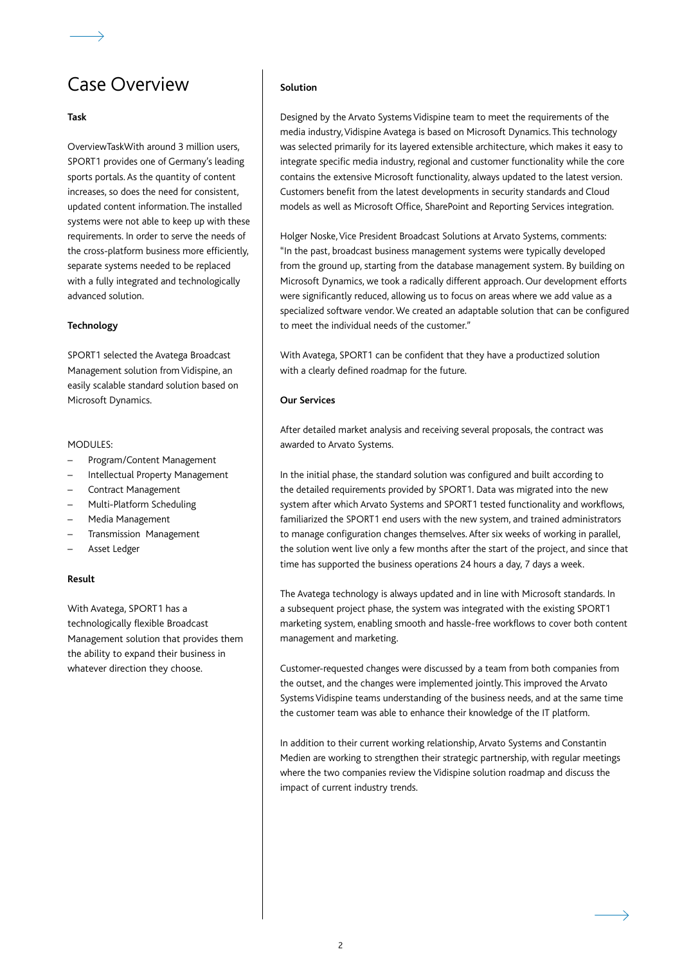### Case Overview

#### **Task**

OverviewTaskWith around 3 million users, SPORT1 provides one of Germany's leading sports portals. As the quantity of content increases, so does the need for consistent, updated content information. The installed systems were not able to keep up with these requirements. In order to serve the needs of the cross-platform business more efficiently, separate systems needed to be replaced with a fully integrated and technologically advanced solution.

#### **Technology**

SPORT1 selected the Avatega Broadcast Management solution from Vidispine, an easily scalable standard solution based on Microsoft Dynamics.

#### MODULES:

- Program/Content Management
- Intellectual Property Management
- Contract Management
- Multi-Platform Scheduling
- Media Management
- Transmission Management
- Asset Ledger

#### **Result**

With Avatega, SPORT1 has a technologically flexible Broadcast Management solution that provides them the ability to expand their business in whatever direction they choose.

#### **Solution**

Designed by the Arvato Systems Vidispine team to meet the requirements of the media industry, Vidispine Avatega is based on Microsoft Dynamics. This technology was selected primarily for its layered extensible architecture, which makes it easy to integrate specific media industry, regional and customer functionality while the core contains the extensive Microsoft functionality, always updated to the latest version. Customers benefit from the latest developments in security standards and Cloud models as well as Microsoft Office, SharePoint and Reporting Services integration.

Holger Noske, Vice President Broadcast Solutions at Arvato Systems, comments: "In the past, broadcast business management systems were typically developed from the ground up, starting from the database management system. By building on Microsoft Dynamics, we took a radically different approach. Our development efforts were significantly reduced, allowing us to focus on areas where we add value as a specialized software vendor. We created an adaptable solution that can be configured to meet the individual needs of the customer."

With Avatega, SPORT1 can be confident that they have a productized solution with a clearly defined roadmap for the future.

#### **Our Services**

After detailed market analysis and receiving several proposals, the contract was awarded to Arvato Systems.

In the initial phase, the standard solution was configured and built according to the detailed requirements provided by SPORT1. Data was migrated into the new system after which Arvato Systems and SPORT1 tested functionality and workflows, familiarized the SPORT1 end users with the new system, and trained administrators to manage configuration changes themselves. After six weeks of working in parallel, the solution went live only a few months after the start of the project, and since that time has supported the business operations 24 hours a day, 7 days a week.

The Avatega technology is always updated and in line with Microsoft standards. In a subsequent project phase, the system was integrated with the existing SPORT1 marketing system, enabling smooth and hassle-free workflows to cover both content management and marketing.

Customer-requested changes were discussed by a team from both companies from the outset, and the changes were implemented jointly. This improved the Arvato Systems Vidispine teams understanding of the business needs, and at the same time the customer team was able to enhance their knowledge of the IT platform.

In addition to their current working relationship, Arvato Systems and Constantin Medien are working to strengthen their strategic partnership, with regular meetings where the two companies review the Vidispine solution roadmap and discuss the impact of current industry trends.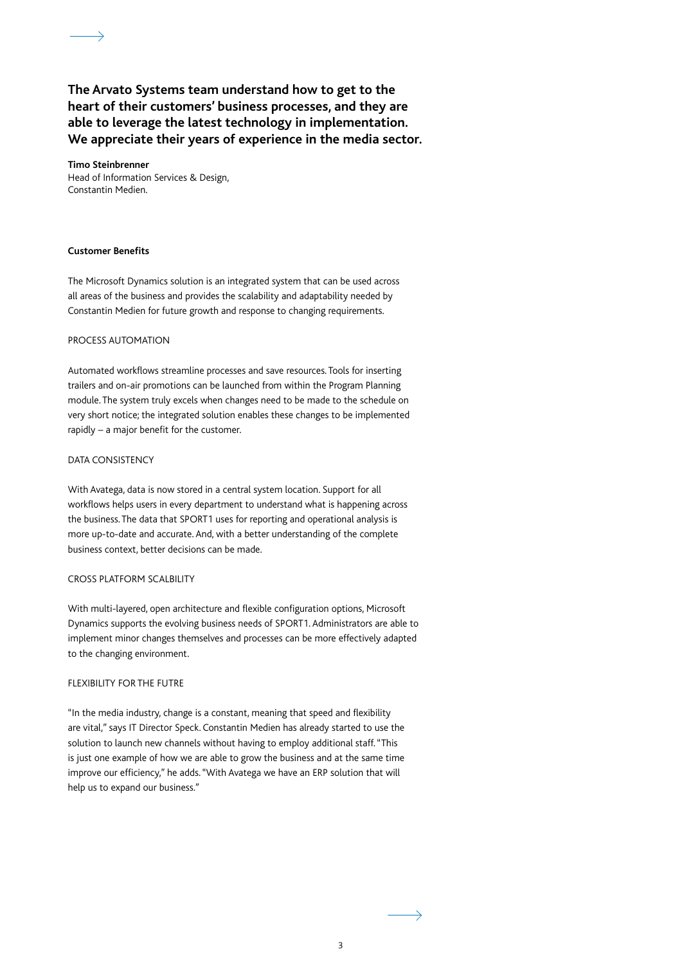**The Arvato Systems team understand how to get to the heart of their customers' business processes, and they are able to leverage the latest technology in implementation. We appreciate their years of experience in the media sector.**

**Timo Steinbrenner** Head of Information Services & Design, Constantin Medien.

#### **Customer Benefits**

The Microsoft Dynamics solution is an integrated system that can be used across all areas of the business and provides the scalability and adaptability needed by Constantin Medien for future growth and response to changing requirements.

#### PROCESS AUTOMATION

Automated workflows streamline processes and save resources. Tools for inserting trailers and on-air promotions can be launched from within the Program Planning module. The system truly excels when changes need to be made to the schedule on very short notice; the integrated solution enables these changes to be implemented rapidly – a major benefit for the customer.

#### DATA CONSISTENCY

With Avatega, data is now stored in a central system location. Support for all workflows helps users in every department to understand what is happening across the business. The data that SPORT1 uses for reporting and operational analysis is more up-to-date and accurate. And, with a better understanding of the complete business context, better decisions can be made.

#### CROSS PLATFORM SCALBILITY

With multi-layered, open architecture and flexible configuration options, Microsoft Dynamics supports the evolving business needs of SPORT1. Administrators are able to implement minor changes themselves and processes can be more effectively adapted to the changing environment.

#### FLEXIBILITY FOR THE FUTRE

"In the media industry, change is a constant, meaning that speed and flexibility are vital," says IT Director Speck. Constantin Medien has already started to use the solution to launch new channels without having to employ additional staff. "This is just one example of how we are able to grow the business and at the same time improve our efficiency," he adds. "With Avatega we have an ERP solution that will help us to expand our business."

 $\rightarrow$